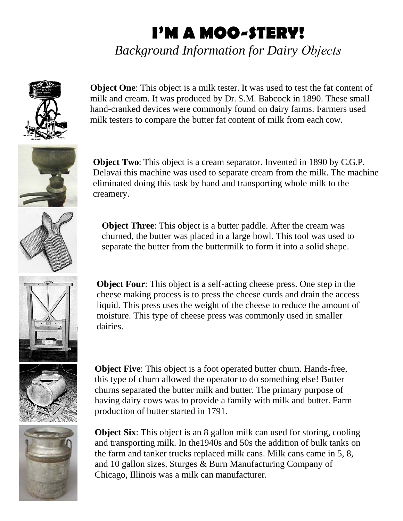## **I'M A MOO-STERY!**

*Background Information for Dairy Objects*



**Object One**: This object is a milk tester. It was used to test the fat content of milk and cream. It was produced by Dr. S.M. Babcock in 1890. These small hand-cranked devices were commonly found on dairy farms. Farmers used milk testers to compare the butter fat content of milk from each cow.



**Object Two:** This object is a cream separator. Invented in 1890 by C.G.P. Delavai this machine was used to separate cream from the milk. The machine eliminated doing this task by hand and transporting whole milk to the creamery.

**Object Three**: This object is a butter paddle. After the cream was churned, the butter was placed in a large bowl. This tool was used to separate the butter from the buttermilk to form it into a solid shape.



**Object Four:** This object is a self-acting cheese press. One step in the cheese making process is to press the cheese curds and drain the access liquid. This press uses the weight of the cheese to reduce the amount of moisture. This type of cheese press was commonly used in smaller dairies.



**Object Five**: This object is a foot operated butter churn. Hands-free, this type of churn allowed the operator to do something else! Butter churns separated the butter milk and butter. The primary purpose of having dairy cows was to provide a family with milk and butter. Farm production of butter started in 1791.



**Object Six**: This object is an 8 gallon milk can used for storing, cooling and transporting milk. In the1940s and 50s the addition of bulk tanks on the farm and tanker trucks replaced milk cans. Milk cans came in 5, 8, and 10 gallon sizes. Sturges & Burn Manufacturing Company of Chicago, Illinois was a milk can manufacturer.